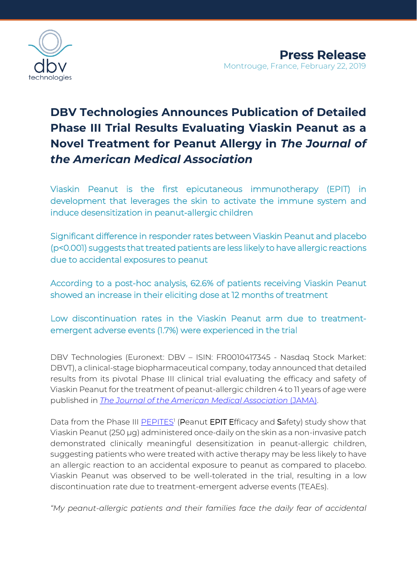

# **DBV Technologies Announces Publication of Detailed Phase III Trial Results Evaluating Viaskin Peanut as a Novel Treatment for Peanut Allergy in** *The Journal of the American Medical Association*

Viaskin Peanut is the first epicutaneous immunotherapy (EPIT) in development that leverages the skin to activate the immune system and induce desensitization in peanut-allergic children

Significant difference in responder rates between Viaskin Peanut and placebo (p<0.001) suggests that treated patients are less likely to have allergic reactions due to accidental exposures to peanut

According to a post-hoc analysis, 62.6% of patients receiving Viaskin Peanut showed an increase in their eliciting dose at 12 months of treatment

Low discontinuation rates in the Viaskin Peanut arm due to treatmentemergent adverse events (1.7%) were experienced in the trial

DBV Technologies (Euronext: DBV – ISIN: FR0010417345 - Nasdaq Stock Market: DBVT), a clinical-stage biopharmaceutical company, today announced that detailed results from its pivotal Phase III clinical trial evaluating the efficacy and safety of Viaskin Peanut for the treatment of peanut-allergic children 4 to 11 years of age were published in *The [Journal of the American Medical Association](http://jamanetwork.com/journals/jama/fullarticle/10.1001/jama.2019.1113)* (JAMA).

Data from the Phase III [PEPITES](#page-3-0)<sup>1</sup> (Peanut EPIT Efficacy and Safety) study show that Viaskin Peanut (250 µg) administered once-daily on the skin as a non-invasive patch demonstrated clinically meaningful desensitization in peanut-allergic children, suggesting patients who were treated with active therapy may be less likely to have an allergic reaction to an accidental exposure to peanut as compared to placebo. Viaskin Peanut was observed to be well-tolerated in the trial, resulting in a low discontinuation rate due to treatment-emergent adverse events (TEAEs).

*"My peanut-allergic patients and their families face the daily fear of accidental*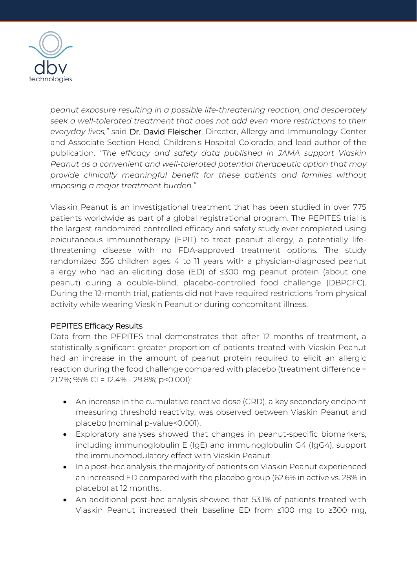

*peanut exposure resulting in a possible life-threatening reaction, and desperately seek a well-tolerated treatment that does not add even more restrictions to their everyday lives,"* said Dr. David Fleischer, Director, Allergy and Immunology Center and Associate Section Head, Children's Hospital Colorado, and lead author of the publication. *"The efficacy and safety data published in JAMA support Viaskin Peanut as a convenient and well-tolerated potential therapeutic option that may provide clinically meaningful benefit for these patients and families without imposing a major treatment burden."*

Viaskin Peanut is an investigational treatment that has been studied in over 775 patients worldwide as part of a global registrational program. The PEPITES trial is the largest randomized controlled efficacy and safety study ever completed using epicutaneous immunotherapy (EPIT) to treat peanut allergy, a potentially lifethreatening disease with no FDA-approved treatment options. The study randomized 356 children ages 4 to 11 years with a physician-diagnosed peanut allergy who had an eliciting dose (ED) of ≤300 mg peanut protein (about one peanut) during a double-blind, placebo-controlled food challenge (DBPCFC). During the 12-month trial, patients did not have required restrictions from physical activity while wearing Viaskin Peanut or during concomitant illness.

# PEPITES Efficacy Results

Data from the PEPITES trial demonstrates that after 12 months of treatment, a statistically significant greater proportion of patients treated with Viaskin Peanut had an increase in the amount of peanut protein required to elicit an allergic reaction during the food challenge compared with placebo (treatment difference = 21.7%; 95% CI = 12.4% - 29.8%; p<0.001):

- An increase in the cumulative reactive dose (CRD), a key secondary endpoint measuring threshold reactivity, was observed between Viaskin Peanut and placebo (nominal p-value<0.001).
- Exploratory analyses showed that changes in peanut-specific biomarkers, including immunoglobulin E (IgE) and immunoglobulin G4 (IgG4), support the immunomodulatory effect with Viaskin Peanut.
- In a post-hoc analysis, the majority of patients on Viaskin Peanut experienced an increased ED compared with the placebo group (62.6% in active vs. 28% in placebo) at 12 months.
- An additional post-hoc analysis showed that 53.1% of patients treated with Viaskin Peanut increased their baseline ED from ≤100 mg to ≥300 mg,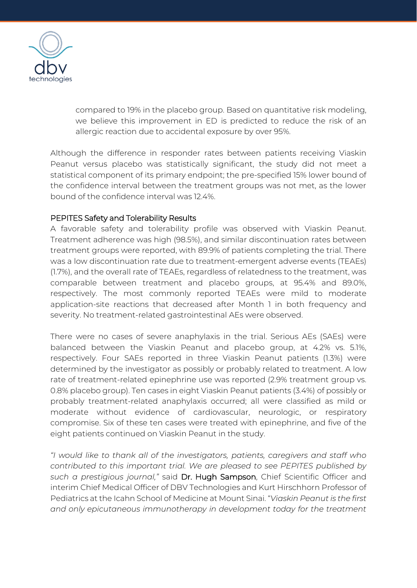

compared to 19% in the placebo group. Based on quantitative risk modeling, we believe this improvement in ED is predicted to reduce the risk of an allergic reaction due to accidental exposure by over 95%.

Although the difference in responder rates between patients receiving Viaskin Peanut versus placebo was statistically significant, the study did not meet a statistical component of its primary endpoint; the pre-specified 15% lower bound of the confidence interval between the treatment groups was not met, as the lower bound of the confidence interval was 12.4%.

#### PEPITES Safety and Tolerability Results

A favorable safety and tolerability profile was observed with Viaskin Peanut. Treatment adherence was high (98.5%), and similar discontinuation rates between treatment groups were reported, with 89.9% of patients completing the trial. There was a low discontinuation rate due to treatment-emergent adverse events (TEAEs) (1.7%), and the overall rate of TEAEs, regardless of relatedness to the treatment, was comparable between treatment and placebo groups, at 95.4% and 89.0%, respectively. The most commonly reported TEAEs were mild to moderate application-site reactions that decreased after Month 1 in both frequency and severity. No treatment-related gastrointestinal AEs were observed.

There were no cases of severe anaphylaxis in the trial. Serious AEs (SAEs) were balanced between the Viaskin Peanut and placebo group, at 4.2% vs. 5.1%, respectively. Four SAEs reported in three Viaskin Peanut patients (1.3%) were determined by the investigator as possibly or probably related to treatment. A low rate of treatment-related epinephrine use was reported (2.9% treatment group vs. 0.8% placebo group). Ten cases in eight Viaskin Peanut patients (3.4%) of possibly or probably treatment-related anaphylaxis occurred; all were classified as mild or moderate without evidence of cardiovascular, neurologic, or respiratory compromise. Six of these ten cases were treated with epinephrine, and five of the eight patients continued on Viaskin Peanut in the study.

*"I would like to thank all of the investigators, patients, caregivers and staff who contributed to this important trial. We are pleased to see PEPITES published by such a prestigious journal,"* said Dr. Hugh Sampson, Chief Scientific Officer and interim Chief Medical Officer of DBV Technologies and Kurt Hirschhorn Professor of Pediatrics at the Icahn School of Medicine at Mount Sinai. "*Viaskin Peanut is the first and only epicutaneous immunotherapy in development today for the treatment*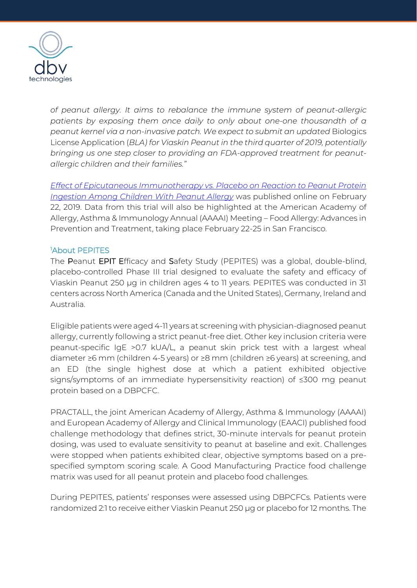

*of peanut allergy. It aims to rebalance the immune system of peanut-allergic patients by exposing them once daily to only about one-one thousandth of a peanut kernel via a non-invasive patch. We expect to submit an updated* Biologics License Application (*BLA) for Viaskin Peanut in the third quarter of 2019, potentially bringing us one step closer to providing an FDA-approved treatment for peanutallergic children and their families."*

*[Effect of Epicutaneous Immunotherapy vs. Placebo on Reaction to Peanut Protein](http://jamanetwork.com/journals/jama/fullarticle/10.1001/jama.2019.1113)  [Ingestion Among Children With Peanut Allergy](http://jamanetwork.com/journals/jama/fullarticle/10.1001/jama.2019.1113)* was published online on February 22, 2019. Data from this trial will also be highlighted at the American Academy of Allergy, Asthma & Immunology Annual (AAAAI) Meeting – Food Allergy: Advances in Prevention and Treatment, taking place February 22-25 in San Francisco.

### <span id="page-3-0"></span><sup>1</sup>About PEPITES

The Peanut EPIT Efficacy and Safety Study (PEPITES) was a global, double-blind, placebo-controlled Phase III trial designed to evaluate the safety and efficacy of Viaskin Peanut 250 μg in children ages 4 to 11 years. PEPITES was conducted in 31 centers across North America (Canada and the United States), Germany, Ireland and Australia.

Eligible patients were aged 4-11 years at screening with physician-diagnosed peanut allergy, currently following a strict peanut-free diet. Other key inclusion criteria were peanut-specific IgE >0.7 kUA/L, a peanut skin prick test with a largest wheal diameter ≥6 mm (children 4-5 years) or ≥8 mm (children ≥6 years) at screening, and an ED (the single highest dose at which a patient exhibited objective signs/symptoms of an immediate hypersensitivity reaction) of ≤300 mg peanut protein based on a DBPCFC.

PRACTALL, the joint American Academy of Allergy, Asthma & Immunology (AAAAI) and European Academy of Allergy and Clinical Immunology (EAACI) published food challenge methodology that defines strict, 30-minute intervals for peanut protein dosing, was used to evaluate sensitivity to peanut at baseline and exit. Challenges were stopped when patients exhibited clear, objective symptoms based on a prespecified symptom scoring scale. A Good Manufacturing Practice food challenge matrix was used for all peanut protein and placebo food challenges.

During PEPITES, patients' responses were assessed using DBPCFCs. Patients were randomized 2:1 to receive either Viaskin Peanut 250 μg or placebo for 12 months. The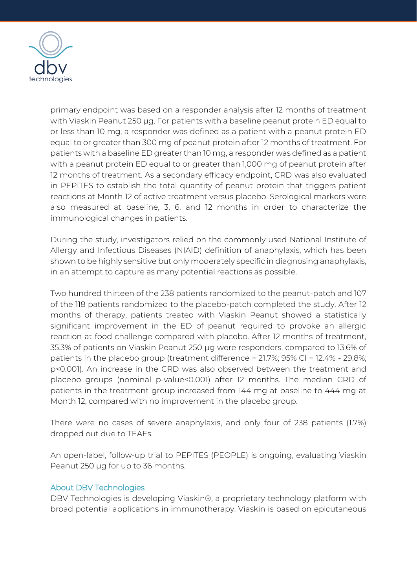

primary endpoint was based on a responder analysis after 12 months of treatment with Viaskin Peanut 250 µg. For patients with a baseline peanut protein ED equal to or less than 10 mg, a responder was defined as a patient with a peanut protein ED equal to or greater than 300 mg of peanut protein after 12 months of treatment. For patients with a baseline ED greater than 10 mg, a responder was defined as a patient with a peanut protein ED equal to or greater than 1,000 mg of peanut protein after 12 months of treatment. As a secondary efficacy endpoint, CRD was also evaluated in PEPITES to establish the total quantity of peanut protein that triggers patient reactions at Month 12 of active treatment versus placebo. Serological markers were also measured at baseline, 3, 6, and 12 months in order to characterize the immunological changes in patients.

During the study, investigators relied on the commonly used National Institute of Allergy and Infectious Diseases (NIAID) definition of anaphylaxis, which has been shown to be highly sensitive but only moderately specific in diagnosing anaphylaxis, in an attempt to capture as many potential reactions as possible.

Two hundred thirteen of the 238 patients randomized to the peanut-patch and 107 of the 118 patients randomized to the placebo-patch completed the study. After 12 months of therapy, patients treated with Viaskin Peanut showed a statistically significant improvement in the ED of peanut required to provoke an allergic reaction at food challenge compared with placebo. After 12 months of treatment, 35.3% of patients on Viaskin Peanut 250 μg were responders, compared to 13.6% of patients in the placebo group (treatment difference = 21.7%; 95% CI = 12.4% - 29.8%; p<0.001). An increase in the CRD was also observed between the treatment and placebo groups (nominal p-value<0.001) after 12 months. The median CRD of patients in the treatment group increased from 144 mg at baseline to 444 mg at Month 12, compared with no improvement in the placebo group.

There were no cases of severe anaphylaxis, and only four of 238 patients (1.7%) dropped out due to TEAEs.

An open-label, follow-up trial to PEPITES (PEOPLE) is ongoing, evaluating Viaskin Peanut 250 µg for up to 36 months.

#### About DBV Technologies

DBV Technologies is developing Viaskin®, a proprietary technology platform with broad potential applications in immunotherapy. Viaskin is based on epicutaneous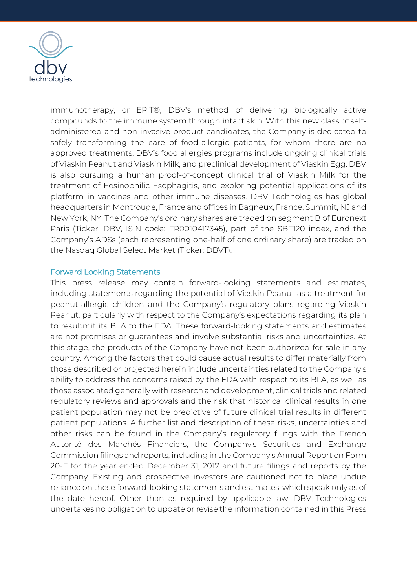

immunotherapy, or EPIT®, DBV's method of delivering biologically active compounds to the immune system through intact skin. With this new class of selfadministered and non-invasive product candidates, the Company is dedicated to safely transforming the care of food-allergic patients, for whom there are no approved treatments. DBV's food allergies programs include ongoing clinical trials of Viaskin Peanut and Viaskin Milk, and preclinical development of Viaskin Egg. DBV is also pursuing a human proof-of-concept clinical trial of Viaskin Milk for the treatment of Eosinophilic Esophagitis, and exploring potential applications of its platform in vaccines and other immune diseases. DBV Technologies has global headquarters in Montrouge, France and offices in Bagneux, France, Summit, NJ and New York, NY. The Company's ordinary shares are traded on segment B of Euronext Paris (Ticker: DBV, ISIN code: FR0010417345), part of the SBF120 index, and the Company's ADSs (each representing one-half of one ordinary share) are traded on the Nasdaq Global Select Market (Ticker: DBVT).

#### Forward Looking Statements

This press release may contain forward-looking statements and estimates, including statements regarding the potential of Viaskin Peanut as a treatment for peanut-allergic children and the Company's regulatory plans regarding Viaskin Peanut, particularly with respect to the Company's expectations regarding its plan to resubmit its BLA to the FDA. These forward-looking statements and estimates are not promises or guarantees and involve substantial risks and uncertainties. At this stage, the products of the Company have not been authorized for sale in any country. Among the factors that could cause actual results to differ materially from those described or projected herein include uncertainties related to the Company's ability to address the concerns raised by the FDA with respect to its BLA, as well as those associated generally with research and development, clinical trials and related regulatory reviews and approvals and the risk that historical clinical results in one patient population may not be predictive of future clinical trial results in different patient populations. A further list and description of these risks, uncertainties and other risks can be found in the Company's regulatory filings with the French Autorité des Marchés Financiers, the Company's Securities and Exchange Commission filings and reports, including in the Company's Annual Report on Form 20-F for the year ended December 31, 2017 and future filings and reports by the Company. Existing and prospective investors are cautioned not to place undue reliance on these forward-looking statements and estimates, which speak only as of the date hereof. Other than as required by applicable law, DBV Technologies undertakes no obligation to update or revise the information contained in this Press